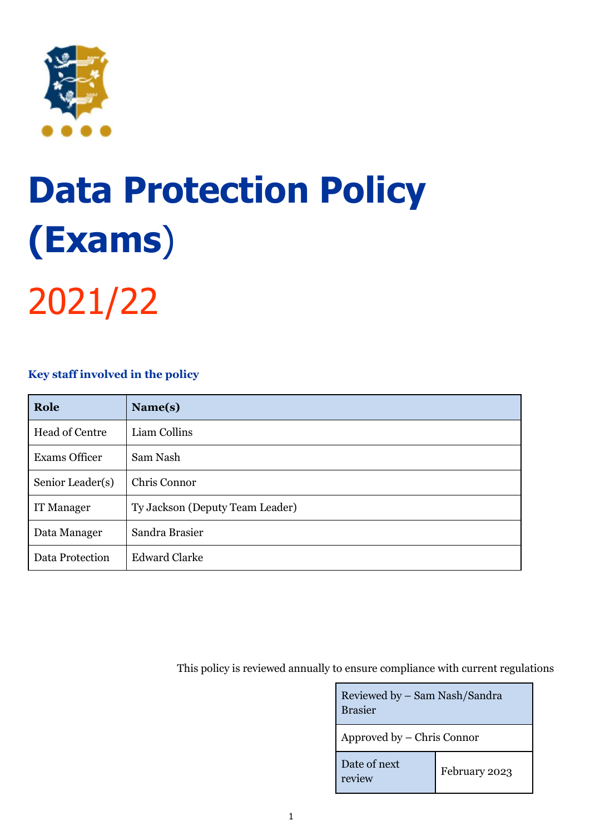

# **Data Protection Policy (Exams**)

2021/22

# **Key staff involved in the policy**

| Role                 | Name(s)                         |
|----------------------|---------------------------------|
| Head of Centre       | Liam Collins                    |
| <b>Exams Officer</b> | Sam Nash                        |
| Senior Leader(s)     | Chris Connor                    |
| IT Manager           | Ty Jackson (Deputy Team Leader) |
| Data Manager         | Sandra Brasier                  |
| Data Protection      | <b>Edward Clarke</b>            |

This policy is reviewed annually to ensure compliance with current regulations

| Reviewed by - Sam Nash/Sandra<br><b>Brasier</b> |               |  |
|-------------------------------------------------|---------------|--|
| Approved by – Chris Connor                      |               |  |
| Date of next<br>review                          | February 2023 |  |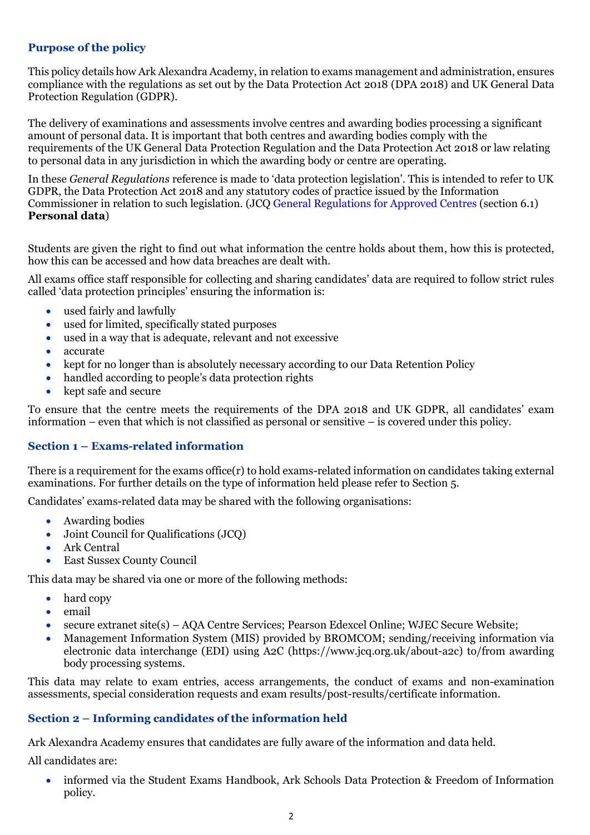# **Purpose of the policy**

This policy details how Ark Alexandra Academy, in relation to exams management and administration, ensures compliance with the regulations as set out by the Data Protection Act 2018 (DPA 2018) and UK General Data Protection Regulation (GDPR).

The delivery of examinations and assessments involve centres and awarding bodies processing a significant amount of personal data. It is important that both centres and awarding bodies comply with the requirements of the UK General Data Protection Regulation and the Data Protection Act 2018 or law relating to personal data in any jurisdiction in which the awarding body or centre are operating.

In these *General Regulations* reference is made to 'data protection legislation'. This is intended to refer to UK GDPR, the Data Protection Act 2018 and any statutory codes of practice issued by the Information Commissioner in relation to such legislation. (JC[Q General Regulations for Approved Centres](https://www.jcq.org.uk/exams-office/general-regulations/) (section 6.1) **Personal data**)

Students are given the right to find out what information the centre holds about them, how this is protected, how this can be accessed and how data breaches are dealt with.

All exams office staff responsible for collecting and sharing candidates' data are required to follow strict rules called 'data protection principles' ensuring the information is:

- used fairly and lawfully
- used for limited, specifically stated purposes
- used in a way that is adequate, relevant and not excessive
- accurate
- kept for no longer than is absolutely necessary according to our Data Retention Policy
- handled according to people's data protection rights
- kept safe and secure

To ensure that the centre meets the requirements of the DPA 2018 and UK GDPR, all candidates' exam information – even that which is not classified as personal or sensitive – is covered under this policy.

# **Section 1 – Exams-related information**

There is a requirement for the exams office(r) to hold exams-related information on candidates taking external examinations. For further details on the type of information held please refer to Section 5.

Candidates' exams-related data may be shared with the following organisations:

- Awarding bodies
- Joint Council for Qualifications (JCQ)
- Ark Central
- East Sussex County Council

This data may be shared via one or more of the following methods:

- hard copy
- email
- secure extranet site(s) AQA Centre Services; Pearson Edexcel Online; WJEC Secure Website;
- Management Information System (MIS) provided by BROMCOM; sending/receiving information via electronic data interchange (EDI) using A2C [\(https://www.jcq.org.uk/about-a2c\)](https://www.jcq.org.uk/about-a2c) to/from awarding body processing systems.

This data may relate to exam entries, access arrangements, the conduct of exams and non-examination assessments, special consideration requests and exam results/post-results/certificate information.

#### **Section 2 – Informing candidates of the information held**

Ark Alexandra Academy ensures that candidates are fully aware of the information and data held.

All candidates are:

• informed via the Student Exams Handbook, Ark Schools Data Protection & Freedom of Information policy.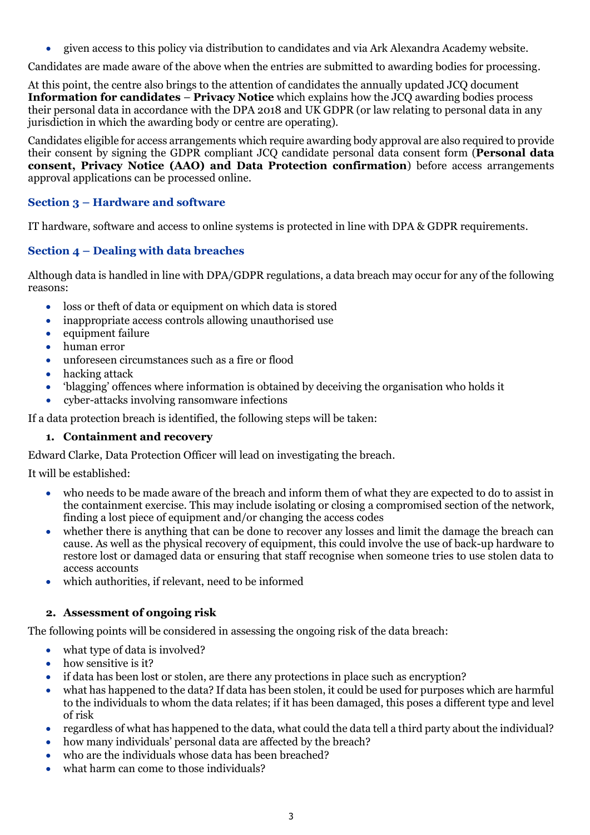• given access to this policy via distribution to candidates and via Ark Alexandra Academy website.

Candidates are made aware of the above when the entries are submitted to awarding bodies for processing.

At this point, the centre also brings to the attention of candidates the annually updated JCQ document **Information for candidates** – **Privacy Notice** which explains how the JCQ awarding bodies process their personal data in accordance with the DPA 2018 and UK GDPR (or law relating to personal data in any jurisdiction in which the awarding body or centre are operating).

Candidates eligible for access arrangements which require awarding body approval are also required to provide their consent by signing the GDPR compliant JCQ candidate personal data consent form (**Personal data consent, Privacy Notice (AAO) and Data Protection confirmation**) before access arrangements approval applications can be processed online.

# **Section 3 – Hardware and software**

IT hardware, software and access to online systems is protected in line with DPA & GDPR requirements.

# **Section 4 – Dealing with data breaches**

Although data is handled in line with DPA/GDPR regulations, a data breach may occur for any of the following reasons:

- loss or theft of data or equipment on which data is stored
- inappropriate access controls allowing unauthorised use
- equipment failure
- human error
- unforeseen circumstances such as a fire or flood
- hacking attack
- 'blagging' offences where information is obtained by deceiving the organisation who holds it
- cyber-attacks involving ransomware infections

If a data protection breach is identified, the following steps will be taken:

# **1. Containment and recovery**

Edward Clarke, Data Protection Officer will lead on investigating the breach.

It will be established:

- who needs to be made aware of the breach and inform them of what they are expected to do to assist in the containment exercise. This may include isolating or closing a compromised section of the network, finding a lost piece of equipment and/or changing the access codes
- whether there is anything that can be done to recover any losses and limit the damage the breach can cause. As well as the physical recovery of equipment, this could involve the use of back-up hardware to restore lost or damaged data or ensuring that staff recognise when someone tries to use stolen data to access accounts
- which authorities, if relevant, need to be informed

# **2. Assessment of ongoing risk**

The following points will be considered in assessing the ongoing risk of the data breach:

- what type of data is involved?
- how sensitive is it?
- if data has been lost or stolen, are there any protections in place such as encryption?
- what has happened to the data? If data has been stolen, it could be used for purposes which are harmful to the individuals to whom the data relates; if it has been damaged, this poses a different type and level of risk
- regardless of what has happened to the data, what could the data tell a third party about the individual?
- how many individuals' personal data are affected by the breach?
- who are the individuals whose data has been breached?
- what harm can come to those individuals?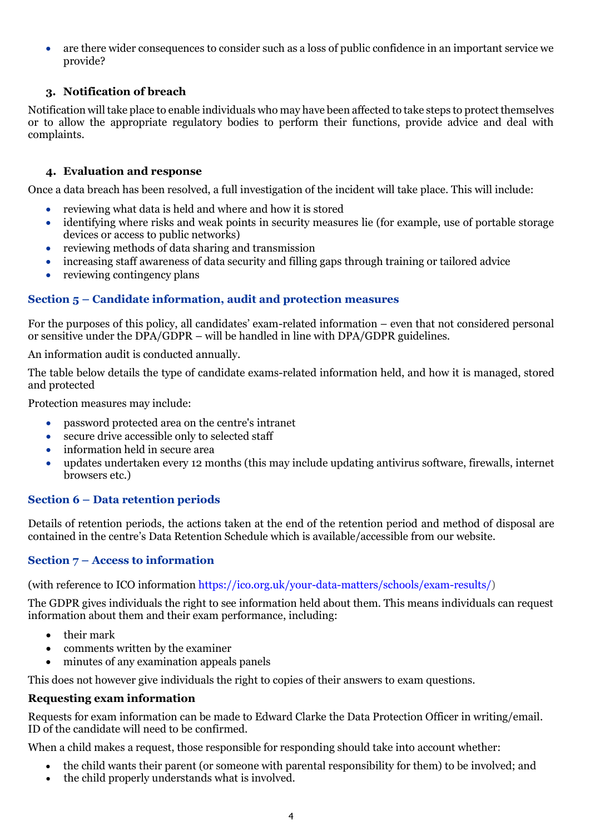• are there wider consequences to consider such as a loss of public confidence in an important service we provide?

# **3. Notification of breach**

Notification will take place to enable individuals who may have been affected to take steps to protect themselves or to allow the appropriate regulatory bodies to perform their functions, provide advice and deal with complaints.

### **4. Evaluation and response**

Once a data breach has been resolved, a full investigation of the incident will take place. This will include:

- reviewing what data is held and where and how it is stored
- identifying where risks and weak points in security measures lie (for example, use of portable storage devices or access to public networks)
- reviewing methods of data sharing and transmission
- increasing staff awareness of data security and filling gaps through training or tailored advice
- reviewing contingency plans

# **Section 5 – Candidate information, audit and protection measures**

For the purposes of this policy, all candidates' exam-related information – even that not considered personal or sensitive under the DPA/GDPR – will be handled in line with DPA/GDPR guidelines.

An information audit is conducted annually.

The table below details the type of candidate exams-related information held, and how it is managed, stored and protected

Protection measures may include:

- password protected area on the centre's intranet
- secure drive accessible only to selected staff
- information held in secure area
- updates undertaken every 12 months (this may include updating antivirus software, firewalls, internet browsers etc.)

# **Section 6 – Data retention periods**

Details of retention periods, the actions taken at the end of the retention period and method of disposal are contained in the centre's Data Retention Schedule which is available/accessible from our website.

# **Section 7 – Access to information**

(with reference to ICO information [https://ico.org.uk/your-data-matters/schools/exam-results/\)](https://ico.org.uk/your-data-matters/schools/exam-results/)

The GDPR gives individuals the right to see information held about them. This means individuals can request information about them and their exam performance, including:

- their mark
- comments written by the examiner
- minutes of any examination appeals panels

This does not however give individuals the right to copies of their answers to exam questions.

#### **Requesting exam information**

Requests for exam information can be made to Edward Clarke the Data Protection Officer in writing/email. ID of the candidate will need to be confirmed.

When a child makes a request, those responsible for responding should take into account whether:

- the child wants their parent (or someone with parental responsibility for them) to be involved; and
- the child properly understands what is involved.